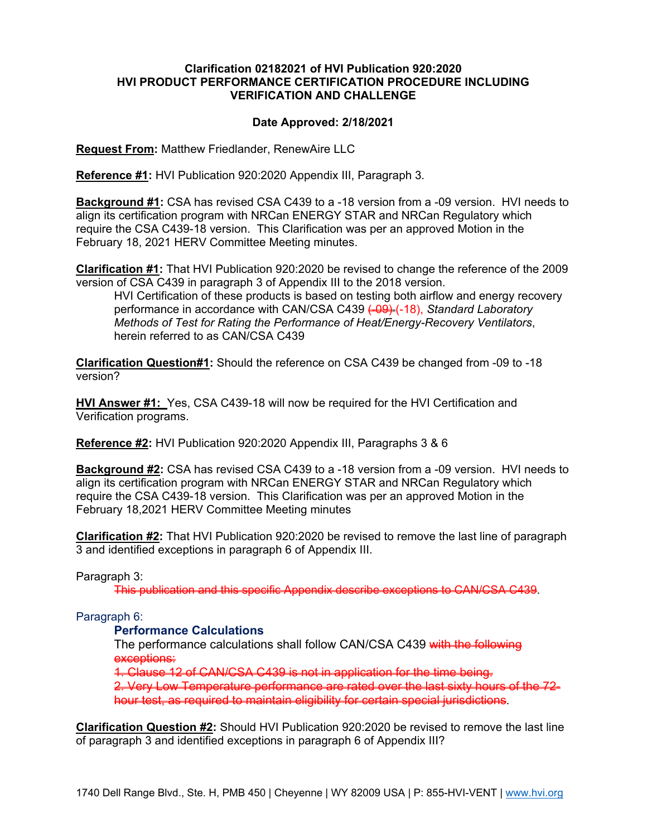# **Clarification 02182021 of HVI Publication 920:2020 HVI PRODUCT PERFORMANCE CERTIFICATION PROCEDURE INCLUDING VERIFICATION AND CHALLENGE**

# **Date Approved: 2/18/2021**

**Request From:** Matthew Friedlander, RenewAire LLC

**Reference #1:** HVI Publication 920:2020 Appendix III, Paragraph 3*.*

**Background #1:** CSA has revised CSA C439 to a -18 version from a -09 version. HVI needs to align its certification program with NRCan ENERGY STAR and NRCan Regulatory which require the CSA C439-18 version. This Clarification was per an approved Motion in the February 18, 2021 HERV Committee Meeting minutes.

**Clarification #1:** That HVI Publication 920:2020 be revised to change the reference of the 2009 version of CSA C439 in paragraph 3 of Appendix III to the 2018 version.

HVI Certification of these products is based on testing both airflow and energy recovery performance in accordance with CAN/CSA C439 <del>(09)</del> (-18), *Standard Laboratory Methods of Test for Rating the Performance of Heat/Energy-Recovery Ventilators*, herein referred to as CAN/CSA C439

**Clarification Question#1:** Should the reference on CSA C439 be changed from -09 to -18 version?

**HVI Answer #1:** Yes, CSA C439-18 will now be required for the HVI Certification and Verification programs.

**Reference #2:** HVI Publication 920:2020 Appendix III, Paragraphs 3 & 6

**Background #2:** CSA has revised CSA C439 to a -18 version from a -09 version. HVI needs to align its certification program with NRCan ENERGY STAR and NRCan Regulatory which require the CSA C439-18 version. This Clarification was per an approved Motion in the February 18,2021 HERV Committee Meeting minutes

**Clarification #2:** That HVI Publication 920:2020 be revised to remove the last line of paragraph 3 and identified exceptions in paragraph 6 of Appendix III.

#### Paragraph 3:

This publication and this specific Appendix describe exceptions to CAN/CSA C439.

# Paragraph 6:

# **Performance Calculations**

The performance calculations shall follow CAN/CSA C439 with the following exceptions:

1. Clause 12 of CAN/CSA C439 is not in application for the time being.

2. Very Low Temperature performance are rated over the last sixty hours of the 72 hour test, as required to maintain eligibility for certain special jurisdictions*.*

**Clarification Question #2:** Should HVI Publication 920:2020 be revised to remove the last line of paragraph 3 and identified exceptions in paragraph 6 of Appendix III?